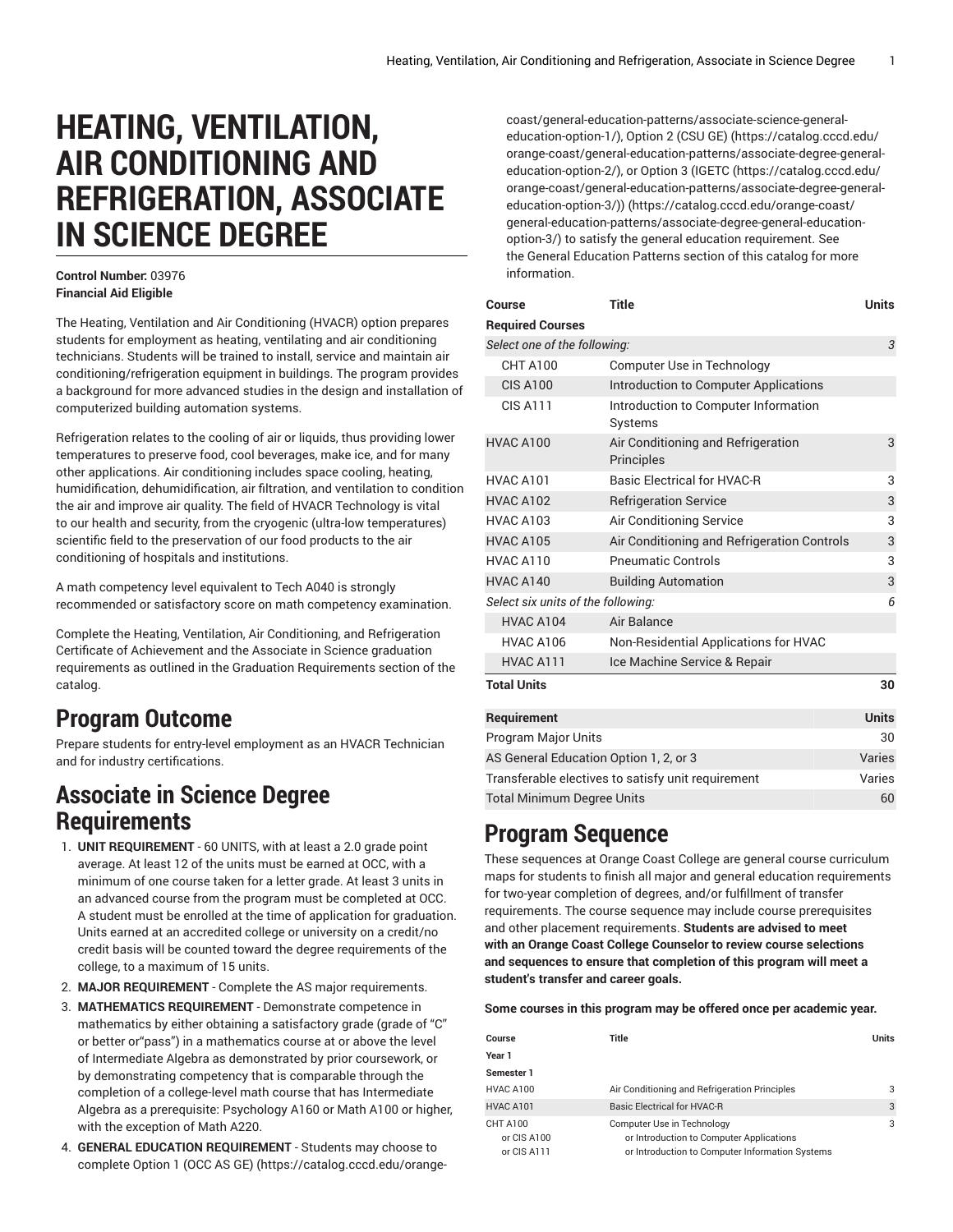# **HEATING, VENTILATION, AIR CONDITIONING AND REFRIGERATION, ASSOCIATE IN SCIENCE DEGREE**

#### **Control Number:** 03976 **Financial Aid Eligible**

The Heating, Ventilation and Air Conditioning (HVACR) option prepares students for employment as heating, ventilating and air conditioning technicians. Students will be trained to install, service and maintain air conditioning/refrigeration equipment in buildings. The program provides a background for more advanced studies in the design and installation of computerized building automation systems.

Refrigeration relates to the cooling of air or liquids, thus providing lower temperatures to preserve food, cool beverages, make ice, and for many other applications. Air conditioning includes space cooling, heating, humidification, dehumidification, air filtration, and ventilation to condition the air and improve air quality. The field of HVACR Technology is vital to our health and security, from the cryogenic (ultra-low temperatures) scientific field to the preservation of our food products to the air conditioning of hospitals and institutions.

A math competency level equivalent to Tech A040 is strongly recommended or satisfactory score on math competency examination.

Complete the Heating, Ventilation, Air Conditioning, and Refrigeration Certificate of Achievement and the Associate in Science graduation requirements as outlined in the Graduation Requirements section of the catalog.

## **Program Outcome**

Prepare students for entry-level employment as an HVACR Technician and for industry certifications.

#### **Associate in Science Degree Requirements**

- 1. **UNIT REQUIREMENT** 60 UNITS, with at least a 2.0 grade point average. At least 12 of the units must be earned at OCC, with a minimum of one course taken for a letter grade. At least 3 units in an advanced course from the program must be completed at OCC. A student must be enrolled at the time of application for graduation. Units earned at an accredited college or university on a credit/no credit basis will be counted toward the degree requirements of the college, to a maximum of 15 units.
- 2. **MAJOR REQUIREMENT** Complete the AS major requirements.
- 3. **MATHEMATICS REQUIREMENT** Demonstrate competence in mathematics by either obtaining a satisfactory grade (grade of "C" or better or"pass") in a mathematics course at or above the level of Intermediate Algebra as demonstrated by prior coursework, or by demonstrating competency that is comparable through the completion of a college-level math course that has Intermediate Algebra as a prerequisite: Psychology A160 or Math A100 or higher, with the exception of Math A220.
- 4. **GENERAL EDUCATION REQUIREMENT** Students may choose to complete [Option 1 \(OCC AS GE\)](https://catalog.cccd.edu/orange-coast/general-education-patterns/associate-science-general-education-option-1/) ([https://catalog.cccd.edu/orange-](https://catalog.cccd.edu/orange-coast/general-education-patterns/associate-science-general-education-option-1/)

[coast/general-education-patterns/associate-science-general](https://catalog.cccd.edu/orange-coast/general-education-patterns/associate-science-general-education-option-1/)[education-option-1/](https://catalog.cccd.edu/orange-coast/general-education-patterns/associate-science-general-education-option-1/)), [Option 2 \(CSU GE\) \(https://catalog.cccd.edu/](https://catalog.cccd.edu/orange-coast/general-education-patterns/associate-degree-general-education-option-2/) [orange-coast/general-education-patterns/associate-degree-general](https://catalog.cccd.edu/orange-coast/general-education-patterns/associate-degree-general-education-option-2/)[education-option-2/](https://catalog.cccd.edu/orange-coast/general-education-patterns/associate-degree-general-education-option-2/)), or Option 3 [\(IGETC](https://catalog.cccd.edu/orange-coast/general-education-patterns/associate-degree-general-education-option-3/) ([https://catalog.cccd.edu/](https://catalog.cccd.edu/orange-coast/general-education-patterns/associate-degree-general-education-option-3/) [orange-coast/general-education-patterns/associate-degree-general](https://catalog.cccd.edu/orange-coast/general-education-patterns/associate-degree-general-education-option-3/)[education-option-3/\)\) \(https://catalog.cccd.edu/orange-coast/](https://catalog.cccd.edu/orange-coast/general-education-patterns/associate-degree-general-education-option-3/) [general-education-patterns/associate-degree-general-education](https://catalog.cccd.edu/orange-coast/general-education-patterns/associate-degree-general-education-option-3/)[option-3/](https://catalog.cccd.edu/orange-coast/general-education-patterns/associate-degree-general-education-option-3/)) to satisfy the general education requirement. See the General Education Patterns section of this catalog for more information.

| Course                                             | <b>Title</b>                                     | <b>Units</b> |
|----------------------------------------------------|--------------------------------------------------|--------------|
| <b>Required Courses</b>                            |                                                  |              |
| Select one of the following:                       |                                                  |              |
| <b>CHT A100</b>                                    | Computer Use in Technology                       |              |
| <b>CIS A100</b>                                    | Introduction to Computer Applications            |              |
| <b>CIS A111</b>                                    | Introduction to Computer Information<br>Systems  |              |
| HVAC A100                                          | Air Conditioning and Refrigeration<br>Principles | 3            |
| HVAC A101                                          | <b>Basic Electrical for HVAC-R</b>               | 3            |
| <b>HVAC A102</b>                                   | <b>Refrigeration Service</b>                     | 3            |
| <b>HVAC A103</b>                                   | Air Conditioning Service                         | 3            |
| HVAC A105                                          | Air Conditioning and Refrigeration Controls      | 3            |
| HVAC A110                                          | <b>Pneumatic Controls</b>                        | 3            |
| HVAC A140                                          | <b>Building Automation</b>                       | 3            |
| Select six units of the following:                 |                                                  |              |
| HVAC A104                                          | Air Balance                                      |              |
| <b>HVAC A106</b>                                   | Non-Residential Applications for HVAC            |              |
| HVAC A111                                          | Ice Machine Service & Repair                     |              |
| <b>Total Units</b>                                 |                                                  | 30           |
| Requirement                                        |                                                  |              |
| <b>Program Major Units</b>                         |                                                  |              |
| AS General Education Option 1, 2, or 3             |                                                  |              |
| Transferable electives to satisfy unit requirement |                                                  |              |
| <b>Total Minimum Degree Units</b>                  |                                                  |              |

## **Program Sequence**

These sequences at Orange Coast College are general course curriculum maps for students to finish all major and general education requirements for two-year completion of degrees, and/or fulfillment of transfer requirements. The course sequence may include course prerequisites and other placement requirements. **Students are advised to meet with an Orange Coast College Counselor to review course selections and sequences to ensure that completion of this program will meet a student's transfer and career goals.**

**Some courses in this program may be offered once per academic year.**

| Course                                 | Title                                                                                                                     | <b>Units</b> |
|----------------------------------------|---------------------------------------------------------------------------------------------------------------------------|--------------|
| Year 1                                 |                                                                                                                           |              |
| Semester 1                             |                                                                                                                           |              |
| HVAC A100                              | Air Conditioning and Refrigeration Principles                                                                             | 3            |
| HVAC A101                              | <b>Basic Electrical for HVAC-R</b>                                                                                        | 3            |
| CHT A100<br>or CIS A100<br>or CIS A111 | Computer Use in Technology<br>or Introduction to Computer Applications<br>or Introduction to Computer Information Systems | 3            |